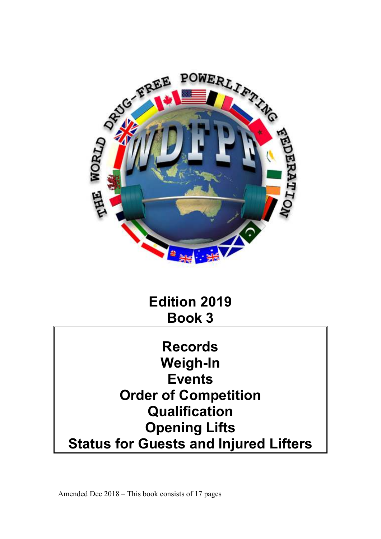

**Edition 2019 Book 3 Records Weigh-In Events Order of Competition Qualification Opening Lifts Status for Guests and Injured Lifters** 

Amended Dec 2018 – This book consists of 17 pages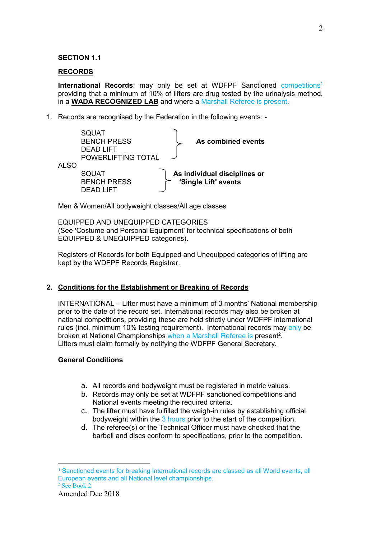### **RECORDS**

**International Records:** may only be set at WDFPF Sanctioned competitions<sup>1</sup> providing that a minimum of 10% of lifters are drug tested by the urinalysis method, in a **WADA RECOGNIZED LAB** and where a Marshall Referee is present.

1. Records are recognised by the Federation in the following events: -



Men & Women/All bodyweight classes/All age classes

EQUIPPED AND UNEQUIPPED CATEGORIES (See 'Costume and Personal Equipment' for technical specifications of both EQUIPPED & UNEQUIPPED categories).

Registers of Records for both Equipped and Unequipped categories of lifting are kept by the WDFPF Records Registrar.

## **2. Conditions for the Establishment or Breaking of Records**

INTERNATIONAL – Lifter must have a minimum of 3 months' National membership prior to the date of the record set. International records may also be broken at national competitions, providing these are held strictly under WDFPF international rules (incl. minimum 10% testing requirement). International records may only be broken at National Championships when a Marshall Referee is present<sup>2</sup>. Lifters must claim formally by notifying the WDFPF General Secretary.

#### **General Conditions**

- a. All records and bodyweight must be registered in metric values.
- b. Records may only be set at WDFPF sanctioned competitions and National events meeting the required criteria.
- c. The lifter must have fulfilled the weigh-in rules by establishing official bodyweight within the 3 hours prior to the start of the competition.
- d. The referee(s) or the Technical Officer must have checked that the barbell and discs conform to specifications, prior to the competition.

-

<sup>1</sup> Sanctioned events for breaking International records are classed as all World events, all European events and all National level championships. 2 See Book 2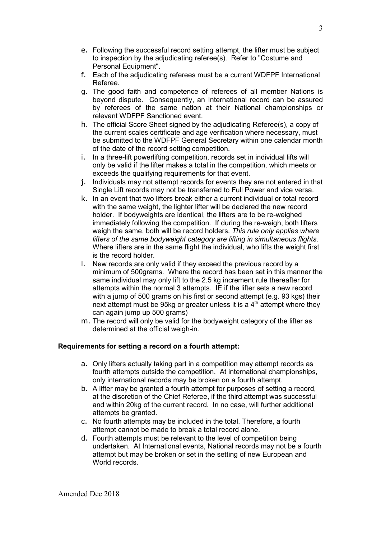- e. Following the successful record setting attempt, the lifter must be subject to inspection by the adjudicating referee(s). Refer to "Costume and Personal Equipment".
- f. Each of the adjudicating referees must be a current WDFPF International Referee.
- g. The good faith and competence of referees of all member Nations is beyond dispute. Consequently, an International record can be assured by referees of the same nation at their National championships or relevant WDFPF Sanctioned event.
- h. The official Score Sheet signed by the adjudicating Referee(s), a copy of the current scales certificate and age verification where necessary, must be submitted to the WDFPF General Secretary within one calendar month of the date of the record setting competition.
- i. In a three-lift powerlifting competition, records set in individual lifts will only be valid if the lifter makes a total in the competition, which meets or exceeds the qualifying requirements for that event.
- j. Individuals may not attempt records for events they are not entered in that Single Lift records may not be transferred to Full Power and vice versa.
- k. In an event that two lifters break either a current individual or total record with the same weight, the lighter lifter will be declared the new record holder. If bodyweights are identical, the lifters are to be re-weighed immediately following the competition. If during the re-weigh, both lifters weigh the same, both will be record holders. *This rule only applies where lifters of the same bodyweight category are lifting in simultaneous flights*. Where lifters are in the same flight the individual, who lifts the weight first is the record holder.
- l. New records are only valid if they exceed the previous record by a minimum of 500grams. Where the record has been set in this manner the same individual may only lift to the 2.5 kg increment rule thereafter for attempts within the normal 3 attempts. IE if the lifter sets a new record with a jump of 500 grams on his first or second attempt (e.g. 93 kgs) their next attempt must be 95kg or greater unless it is a  $4<sup>th</sup>$  attempt where they can again jump up 500 grams)
- m. The record will only be valid for the bodyweight category of the lifter as determined at the official weigh-in.

## **Requirements for setting a record on a fourth attempt:**

- a. Only lifters actually taking part in a competition may attempt records as fourth attempts outside the competition. At international championships, only international records may be broken on a fourth attempt.
- b. A lifter may be granted a fourth attempt for purposes of setting a record, at the discretion of the Chief Referee, if the third attempt was successful and within 20kg of the current record. In no case, will further additional attempts be granted.
- c. No fourth attempts may be included in the total. Therefore, a fourth attempt cannot be made to break a total record alone.
- d. Fourth attempts must be relevant to the level of competition being undertaken. At International events, National records may not be a fourth attempt but may be broken or set in the setting of new European and World records.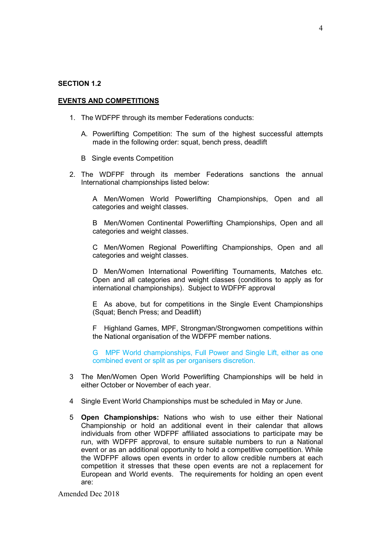#### **EVENTS AND COMPETITIONS**

- 1. The WDFPF through its member Federations conducts:
	- A. Powerlifting Competition: The sum of the highest successful attempts made in the following order: squat, bench press, deadlift
	- B Single events Competition
- 2. The WDFPF through its member Federations sanctions the annual International championships listed below:

A Men/Women World Powerlifting Championships, Open and all categories and weight classes.

B Men/Women Continental Powerlifting Championships, Open and all categories and weight classes.

C Men/Women Regional Powerlifting Championships, Open and all categories and weight classes.

D Men/Women International Powerlifting Tournaments, Matches etc. Open and all categories and weight classes (conditions to apply as for international championships). Subject to WDFPF approval

E As above, but for competitions in the Single Event Championships (Squat; Bench Press; and Deadlift)

F Highland Games, MPF, Strongman/Strongwomen competitions within the National organisation of the WDFPF member nations.

G MPF World championships, Full Power and Single Lift, either as one combined event or split as per organisers discretion.

- 3 The Men/Women Open World Powerlifting Championships will be held in either October or November of each year.
- 4 Single Event World Championships must be scheduled in May or June.
- 5 **Open Championships:** Nations who wish to use either their National Championship or hold an additional event in their calendar that allows individuals from other WDFPF affiliated associations to participate may be run, with WDFPF approval, to ensure suitable numbers to run a National event or as an additional opportunity to hold a competitive competition. While the WDFPF allows open events in order to allow credible numbers at each competition it stresses that these open events are not a replacement for European and World events. The requirements for holding an open event are: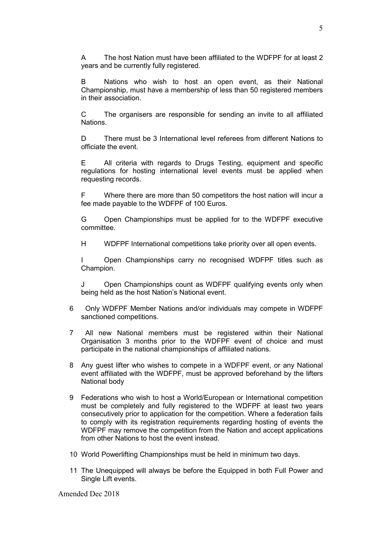A The host Nation must have been affiliated to the WDFPF for at least 2 years and be currently fully registered.

B Nations who wish to host an open event, as their National Championship, must have a membership of less than 50 registered members in their association.

C The organisers are responsible for sending an invite to all affiliated Nations.

D There must be 3 International level referees from different Nations to officiate the event.

E All criteria with regards to Drugs Testing, equipment and specific regulations for hosting international level events must be applied when requesting records.

F Where there are more than 50 competitors the host nation will incur a fee made payable to the WDFPF of 100 Euros.

G Open Championships must be applied for to the WDFPF executive committee.

H WDFPF International competitions take priority over all open events.

I Open Championships carry no recognised WDFPF titles such as Champion.

J Open Championships count as WDFPF qualifying events only when being held as the host Nation's National event.

- 6 Only WDFPF Member Nations and/or individuals may compete in WDFPF sanctioned competitions.
- 7 All new National members must be registered within their National Organisation 3 months prior to the WDFPF event of choice and must participate in the national championships of affiliated nations.
- 8 Any guest lifter who wishes to compete in a WDFPF event, or any National event affiliated with the WDFPF, must be approved beforehand by the lifters National body
- 9 Federations who wish to host a World/European or International competition must be completely and fully registered to the WDFPF at least two years consecutively prior to application for the competition. Where a federation fails to comply with its registration requirements regarding hosting of events the WDFPF may remove the competition from the Nation and accept applications from other Nations to host the event instead.
- 10 World Powerlifting Championships must be held in minimum two days.
- 11 The Unequipped will always be before the Equipped in both Full Power and Single Lift events.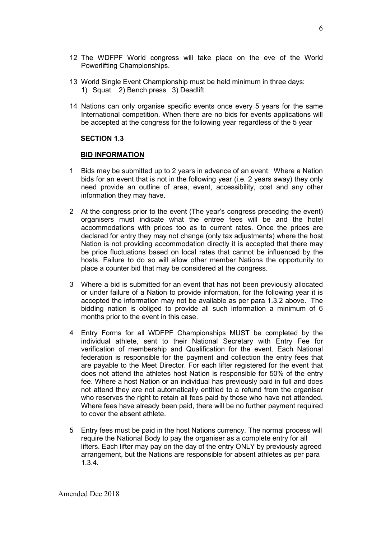- 12 The WDFPF World congress will take place on the eve of the World Powerlifting Championships.
- 13 World Single Event Championship must be held minimum in three days: 1) Squat 2) Bench press 3) Deadlift
- 14 Nations can only organise specific events once every 5 years for the same International competition. When there are no bids for events applications will be accepted at the congress for the following year regardless of the 5 year

#### **BID INFORMATION**

- 1 Bids may be submitted up to 2 years in advance of an event. Where a Nation bids for an event that is not in the following year (i.e. 2 years away) they only need provide an outline of area, event, accessibility, cost and any other information they may have.
- 2 At the congress prior to the event (The year's congress preceding the event) organisers must indicate what the entree fees will be and the hotel accommodations with prices too as to current rates. Once the prices are declared for entry they may not change (only tax adjustments) where the host Nation is not providing accommodation directly it is accepted that there may be price fluctuations based on local rates that cannot be influenced by the hosts. Failure to do so will allow other member Nations the opportunity to place a counter bid that may be considered at the congress.
- 3 Where a bid is submitted for an event that has not been previously allocated or under failure of a Nation to provide information, for the following year it is accepted the information may not be available as per para 1.3.2 above. The bidding nation is obliged to provide all such information a minimum of 6 months prior to the event in this case.
- 4 Entry Forms for all WDFPF Championships MUST be completed by the individual athlete, sent to their National Secretary with Entry Fee for verification of membership and Qualification for the event. Each National federation is responsible for the payment and collection the entry fees that are payable to the Meet Director. For each lifter registered for the event that does not attend the athletes host Nation is responsible for 50% of the entry fee. Where a host Nation or an individual has previously paid in full and does not attend they are not automatically entitled to a refund from the organiser who reserves the right to retain all fees paid by those who have not attended. Where fees have already been paid, there will be no further payment required to cover the absent athlete.
- 5 Entry fees must be paid in the host Nations currency. The normal process will require the National Body to pay the organiser as a complete entry for all lifters. Each lifter may pay on the day of the entry ONLY by previously agreed arrangement, but the Nations are responsible for absent athletes as per para 1.3.4.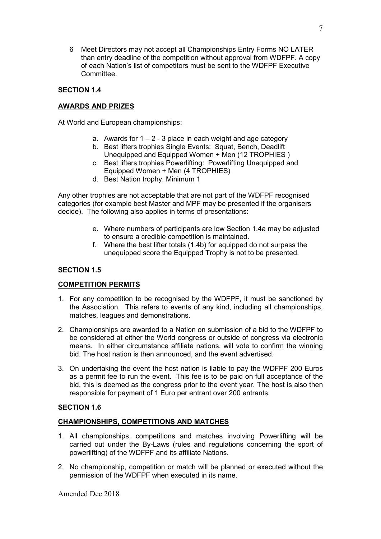6 Meet Directors may not accept all Championships Entry Forms NO LATER than entry deadline of the competition without approval from WDFPF. A copy of each Nation's list of competitors must be sent to the WDFPF Executive **Committee.** 

# **SECTION 1.4**

## **AWARDS AND PRIZES**

At World and European championships:

- a. Awards for  $1 2 3$  place in each weight and age category
- b. Best lifters trophies Single Events: Squat, Bench, Deadlift Unequipped and Equipped Women + Men (12 TROPHIES )
- c. Best lifters trophies Powerlifting: Powerlifting Unequipped and Equipped Women + Men (4 TROPHIES)
- d. Best Nation trophy. Minimum 1

Any other trophies are not acceptable that are not part of the WDFPF recognised categories (for example best Master and MPF may be presented if the organisers decide). The following also applies in terms of presentations:

- e. Where numbers of participants are low Section 1.4a may be adjusted to ensure a credible competition is maintained.
- f. Where the best lifter totals (1.4b) for equipped do not surpass the unequipped score the Equipped Trophy is not to be presented.

## **SECTION 1.5**

## **COMPETITION PERMITS**

- 1. For any competition to be recognised by the WDFPF, it must be sanctioned by the Association. This refers to events of any kind, including all championships, matches, leagues and demonstrations.
- 2. Championships are awarded to a Nation on submission of a bid to the WDFPF to be considered at either the World congress or outside of congress via electronic means. In either circumstance affiliate nations, will vote to confirm the winning bid. The host nation is then announced, and the event advertised.
- 3. On undertaking the event the host nation is liable to pay the WDFPF 200 Euros as a permit fee to run the event. This fee is to be paid on full acceptance of the bid, this is deemed as the congress prior to the event year. The host is also then responsible for payment of 1 Euro per entrant over 200 entrants.

## **SECTION 1.6**

## **CHAMPIONSHIPS, COMPETITIONS AND MATCHES**

- 1. All championships, competitions and matches involving Powerlifting will be carried out under the By-Laws (rules and regulations concerning the sport of powerlifting) of the WDFPF and its affiliate Nations.
- 2. No championship, competition or match will be planned or executed without the permission of the WDFPF when executed in its name.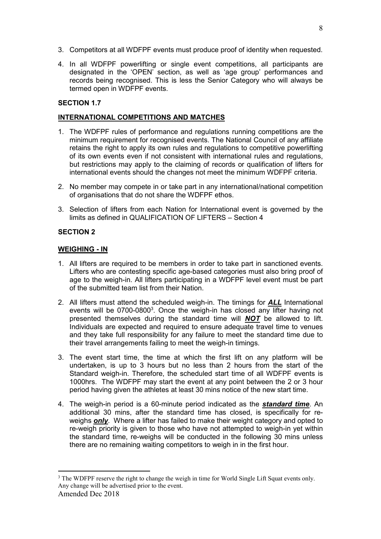- 3. Competitors at all WDFPF events must produce proof of identity when requested.
- 4. In all WDFPF powerlifting or single event competitions, all participants are designated in the 'OPEN' section, as well as 'age group' performances and records being recognised. This is less the Senior Category who will always be termed open in WDFPF events.

## **INTERNATIONAL COMPETITIONS AND MATCHES**

- 1. The WDFPF rules of performance and regulations running competitions are the minimum requirement for recognised events. The National Council of any affiliate retains the right to apply its own rules and regulations to competitive powerlifting of its own events even if not consistent with international rules and regulations, but restrictions may apply to the claiming of records or qualification of lifters for international events should the changes not meet the minimum WDFPF criteria.
- 2. No member may compete in or take part in any international/national competition of organisations that do not share the WDFPF ethos.
- 3. Selection of lifters from each Nation for International event is governed by the limits as defined in QUALIFICATION OF LIFTERS – Section 4

## **SECTION 2**

### **WEIGHING - IN**

- 1. All lifters are required to be members in order to take part in sanctioned events. Lifters who are contesting specific age-based categories must also bring proof of age to the weigh-in. All lifters participating in a WDFPF level event must be part of the submitted team list from their Nation.
- 2. All lifters must attend the scheduled weigh-in. The timings for *ALL* International events will be  $0700$ -0800<sup>3</sup>. Once the weigh-in has closed any lifter having not presented themselves during the standard time will *NOT* be allowed to lift. Individuals are expected and required to ensure adequate travel time to venues and they take full responsibility for any failure to meet the standard time due to their travel arrangements failing to meet the weigh-in timings.
- 3. The event start time, the time at which the first lift on any platform will be undertaken, is up to 3 hours but no less than 2 hours from the start of the Standard weigh-in. Therefore, the scheduled start time of all WDFPF events is 1000hrs. The WDFPF may start the event at any point between the 2 or 3 hour period having given the athletes at least 30 mins notice of the new start time.
- 4. The weigh-in period is a 60-minute period indicated as the *standard time*. An additional 30 mins, after the standard time has closed, is specifically for reweighs *only*. Where a lifter has failed to make their weight category and opted to re-weigh priority is given to those who have not attempted to weigh-in yet within the standard time, re-weighs will be conducted in the following 30 mins unless there are no remaining waiting competitors to weigh in in the first hour.

Amended Dec 2018 -<sup>3</sup> The WDFPF reserve the right to change the weigh in time for World Single Lift Squat events only. Any change will be advertised prior to the event.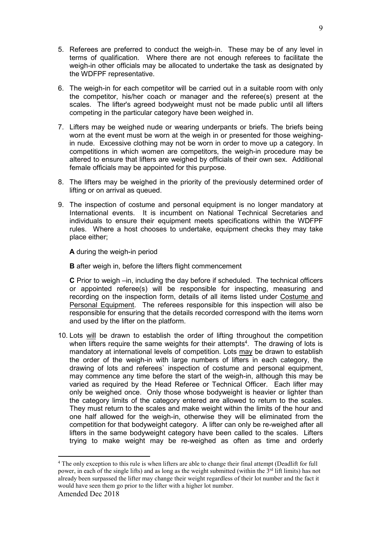- 5. Referees are preferred to conduct the weigh-in. These may be of any level in terms of qualification. Where there are not enough referees to facilitate the weigh-in other officials may be allocated to undertake the task as designated by the WDFPF representative.
- 6. The weigh-in for each competitor will be carried out in a suitable room with only the competitor, his/her coach or manager and the referee(s) present at the scales. The lifter's agreed bodyweight must not be made public until all lifters competing in the particular category have been weighed in.
- 7. Lifters may be weighed nude or wearing underpants or briefs. The briefs being worn at the event must be worn at the weigh in or presented for those weighingin nude. Excessive clothing may not be worn in order to move up a category. In competitions in which women are competitors, the weigh-in procedure may be altered to ensure that lifters are weighed by officials of their own sex. Additional female officials may be appointed for this purpose.
- 8. The lifters may be weighed in the priority of the previously determined order of lifting or on arrival as queued.
- 9. The inspection of costume and personal equipment is no longer mandatory at International events. It is incumbent on National Technical Secretaries and individuals to ensure their equipment meets specifications within the WDFPF rules. Where a host chooses to undertake, equipment checks they may take place either;

**A** during the weigh-in period

**B** after weigh in, before the lifters flight commencement

**C** Prior to weigh –in, including the day before if scheduled. The technical officers or appointed referee(s) will be responsible for inspecting, measuring and recording on the inspection form, details of all items listed under Costume and Personal Equipment. The referees responsible for this inspection will also be responsible for ensuring that the details recorded correspond with the items worn and used by the lifter on the platform.

10. Lots will be drawn to establish the order of lifting throughout the competition when lifters require the same weights for their attempts<sup>4</sup>. The drawing of lots is mandatory at international levels of competition. Lots may be drawn to establish the order of the weigh-in with large numbers of lifters in each category, the drawing of lots and referees` inspection of costume and personal equipment, may commence any time before the start of the weigh-in, although this may be varied as required by the Head Referee or Technical Officer. Each lifter may only be weighed once. Only those whose bodyweight is heavier or lighter than the category limits of the category entered are allowed to return to the scales. They must return to the scales and make weight within the limits of the hour and one half allowed for the weigh-in, otherwise they will be eliminated from the competition for that bodyweight category. A lifter can only be re-weighed after all lifters in the same bodyweight category have been called to the scales. Lifters trying to make weight may be re-weighed as often as time and orderly

<u>.</u>

<sup>&</sup>lt;sup>4</sup> The only exception to this rule is when lifters are able to change their final attempt (Deadlift for full power, in each of the single lifts) and as long as the weight submitted (within the 3<sup>rd</sup> lift limits) has not already been surpassed the lifter may change their weight regardless of their lot number and the fact it would have seen them go prior to the lifter with a higher lot number.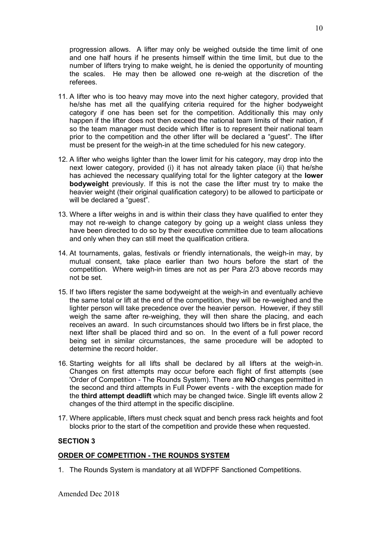progression allows. A lifter may only be weighed outside the time limit of one and one half hours if he presents himself within the time limit, but due to the number of lifters trying to make weight, he is denied the opportunity of mounting the scales. He may then be allowed one re-weigh at the discretion of the referees.

- 11. A lifter who is too heavy may move into the next higher category, provided that he/she has met all the qualifying criteria required for the higher bodyweight category if one has been set for the competition. Additionally this may only happen if the lifter does not then exceed the national team limits of their nation, if so the team manager must decide which lifter is to represent their national team prior to the competition and the other lifter will be declared a "guest". The lifter must be present for the weigh-in at the time scheduled for his new category.
- 12. A lifter who weighs lighter than the lower limit for his category, may drop into the next lower category, provided (i) it has not already taken place (ii) that he/she has achieved the necessary qualifying total for the lighter category at the **lower bodyweight** previously. If this is not the case the lifter must try to make the heavier weight (their original qualification category) to be allowed to participate or will be declared a "guest".
- 13. Where a lifter weighs in and is within their class they have qualified to enter they may not re-weigh to change category by going up a weight class unless they have been directed to do so by their executive committee due to team allocations and only when they can still meet the qualification critiera.
- 14. At tournaments, galas, festivals or friendly internationals, the weigh-in may, by mutual consent, take place earlier than two hours before the start of the competition. Where weigh-in times are not as per Para 2/3 above records may not be set.
- 15. If two lifters register the same bodyweight at the weigh-in and eventually achieve the same total or lift at the end of the competition, they will be re-weighed and the lighter person will take precedence over the heavier person. However, if they still weigh the same after re-weighing, they will then share the placing, and each receives an award. In such circumstances should two lifters be in first place, the next lifter shall be placed third and so on. In the event of a full power record being set in similar circumstances, the same procedure will be adopted to determine the record holder.
- 16. Starting weights for all lifts shall be declared by all lifters at the weigh-in. Changes on first attempts may occur before each flight of first attempts (see 'Order of Competition - The Rounds System). There are **NO** changes permitted in the second and third attempts in Full Power events - with the exception made for the **third attempt deadlift** which may be changed twice. Single lift events allow 2 changes of the third attempt in the specific discipline.
- 17. Where applicable, lifters must check squat and bench press rack heights and foot blocks prior to the start of the competition and provide these when requested.

## **SECTION 3**

## **ORDER OF COMPETITION - THE ROUNDS SYSTEM**

1. The Rounds System is mandatory at all WDFPF Sanctioned Competitions.

10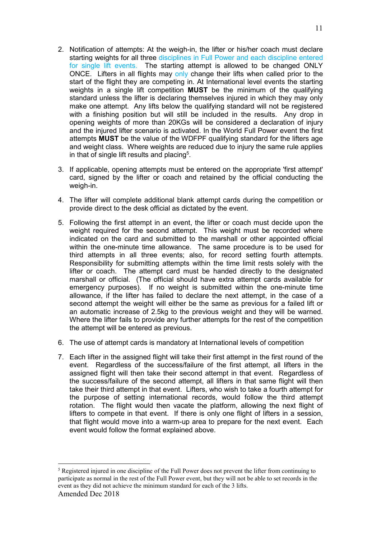- 2. Notification of attempts: At the weigh-in, the lifter or his/her coach must declare starting weights for all three disciplines in Full Power and each discipline entered for single lift events. The starting attempt is allowed to be changed ONLY ONCE. Lifters in all flights may only change their lifts when called prior to the start of the flight they are competing in. At International level events the starting weights in a single lift competition **MUST** be the minimum of the qualifying standard unless the lifter is declaring themselves injured in which they may only make one attempt. Any lifts below the qualifying standard will not be registered with a finishing position but will still be included in the results. Any drop in opening weights of more than 20KGs will be considered a declaration of injury and the injured lifter scenario is activated. In the World Full Power event the first attempts **MUST** be the value of the WDFPF qualifying standard for the lifters age and weight class. Where weights are reduced due to injury the same rule applies in that of single lift results and placing<sup>5</sup>.
- 3. If applicable, opening attempts must be entered on the appropriate 'first attempt' card, signed by the lifter or coach and retained by the official conducting the weigh-in.
- 4. The lifter will complete additional blank attempt cards during the competition or provide direct to the desk official as dictated by the event.
- 5. Following the first attempt in an event, the lifter or coach must decide upon the weight required for the second attempt. This weight must be recorded where indicated on the card and submitted to the marshall or other appointed official within the one-minute time allowance. The same procedure is to be used for third attempts in all three events; also, for record setting fourth attempts. Responsibility for submitting attempts within the time limit rests solely with the lifter or coach. The attempt card must be handed directly to the designated marshall or official. (The official should have extra attempt cards available for emergency purposes). If no weight is submitted within the one-minute time allowance, if the lifter has failed to declare the next attempt, in the case of a second attempt the weight will either be the same as previous for a failed lift or an automatic increase of 2.5kg to the previous weight and they will be warned. Where the lifter fails to provide any further attempts for the rest of the competition the attempt will be entered as previous.
- 6. The use of attempt cards is mandatory at International levels of competition
- 7. Each lifter in the assigned flight will take their first attempt in the first round of the event. Regardless of the success/failure of the first attempt, all lifters in the assigned flight will then take their second attempt in that event. Regardless of the success/failure of the second attempt, all lifters in that same flight will then take their third attempt in that event. Lifters, who wish to take a fourth attempt for the purpose of setting international records, would follow the third attempt rotation. The flight would then vacate the platform, allowing the next flight of lifters to compete in that event. If there is only one flight of lifters in a session, that flight would move into a warm-up area to prepare for the next event. Each event would follow the format explained above.

-

Amended Dec 2018 <sup>5</sup> Registered injured in one discipline of the Full Power does not prevent the lifter from continuing to participate as normal in the rest of the Full Power event, but they will not be able to set records in the event as they did not achieve the minimum standard for each of the 3 lifts.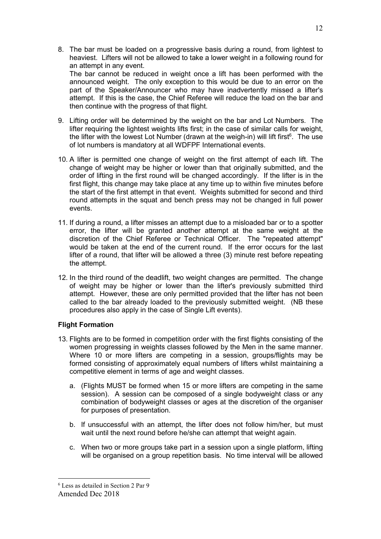- 8. The bar must be loaded on a progressive basis during a round, from lightest to heaviest. Lifters will not be allowed to take a lower weight in a following round for an attempt in any event. The bar cannot be reduced in weight once a lift has been performed with the announced weight. The only exception to this would be due to an error on the part of the Speaker/Announcer who may have inadvertently missed a lifter's attempt. If this is the case, the Chief Referee will reduce the load on the bar and then continue with the progress of that flight.
- 9. Lifting order will be determined by the weight on the bar and Lot Numbers. The lifter requiring the lightest weights lifts first; in the case of similar calls for weight, the lifter with the lowest Lot Number (drawn at the weigh-in) will lift first<sup>6</sup>. The use of lot numbers is mandatory at all WDFPF International events.
- 10. A lifter is permitted one change of weight on the first attempt of each lift. The change of weight may be higher or lower than that originally submitted, and the order of lifting in the first round will be changed accordingly. If the lifter is in the first flight, this change may take place at any time up to within five minutes before the start of the first attempt in that event. Weights submitted for second and third round attempts in the squat and bench press may not be changed in full power events.
- 11. If during a round, a lifter misses an attempt due to a misloaded bar or to a spotter error, the lifter will be granted another attempt at the same weight at the discretion of the Chief Referee or Technical Officer. The "repeated attempt" would be taken at the end of the current round. If the error occurs for the last lifter of a round, that lifter will be allowed a three (3) minute rest before repeating the attempt.
- 12. In the third round of the deadlift, two weight changes are permitted. The change of weight may be higher or lower than the lifter's previously submitted third attempt. However, these are only permitted provided that the lifter has not been called to the bar already loaded to the previously submitted weight. (NB these procedures also apply in the case of Single Lift events).

# **Flight Formation**

- 13. Flights are to be formed in competition order with the first flights consisting of the women progressing in weights classes followed by the Men in the same manner. Where 10 or more lifters are competing in a session, groups/flights may be formed consisting of approximately equal numbers of lifters whilst maintaining a competitive element in terms of age and weight classes.
	- a. (Flights MUST be formed when 15 or more lifters are competing in the same session). A session can be composed of a single bodyweight class or any combination of bodyweight classes or ages at the discretion of the organiser for purposes of presentation.
	- b. If unsuccessful with an attempt, the lifter does not follow him/her, but must wait until the next round before he/she can attempt that weight again.
	- c. When two or more groups take part in a session upon a single platform, lifting will be organised on a group repetition basis. No time interval will be allowed

<sup>&</sup>lt;u>.</u> 6 Less as detailed in Section 2 Par 9

Amended Dec 2018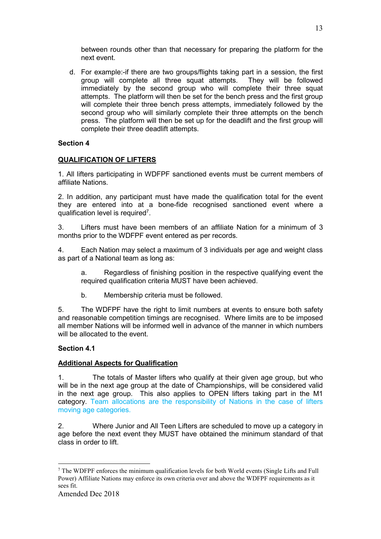between rounds other than that necessary for preparing the platform for the next event.

d. For example:-if there are two groups/flights taking part in a session, the first group will complete all three squat attempts. immediately by the second group who will complete their three squat attempts. The platform will then be set for the bench press and the first group will complete their three bench press attempts, immediately followed by the second group who will similarly complete their three attempts on the bench press. The platform will then be set up for the deadlift and the first group will complete their three deadlift attempts.

# **Section 4**

# **QUALIFICATION OF LIFTERS**

1. All lifters participating in WDFPF sanctioned events must be current members of affiliate Nations.

2. In addition, any participant must have made the qualification total for the event they are entered into at a bone-fide recognised sanctioned event where a qualification level is required<sup>7</sup>.

3. Lifters must have been members of an affiliate Nation for a minimum of 3 months prior to the WDFPF event entered as per records.

4. Each Nation may select a maximum of 3 individuals per age and weight class as part of a National team as long as:

a. Regardless of finishing position in the respective qualifying event the required qualification criteria MUST have been achieved.

b. Membership criteria must be followed.

5. The WDFPF have the right to limit numbers at events to ensure both safety and reasonable competition timings are recognised. Where limits are to be imposed all member Nations will be informed well in advance of the manner in which numbers will be allocated to the event.

## **Section 4.1**

# **Additional Aspects for Qualification**

1. The totals of Master lifters who qualify at their given age group, but who will be in the next age group at the date of Championships, will be considered valid in the next age group. This also applies to OPEN lifters taking part in the M1 category. Team allocations are the responsibility of Nations in the case of lifters moving age categories.

2. Where Junior and All Teen Lifters are scheduled to move up a category in age before the next event they MUST have obtained the minimum standard of that class in order to lift.

<sup>-</sup>7 The WDFPF enforces the minimum qualification levels for both World events (Single Lifts and Full Power) Affiliate Nations may enforce its own criteria over and above the WDFPF requirements as it sees fit.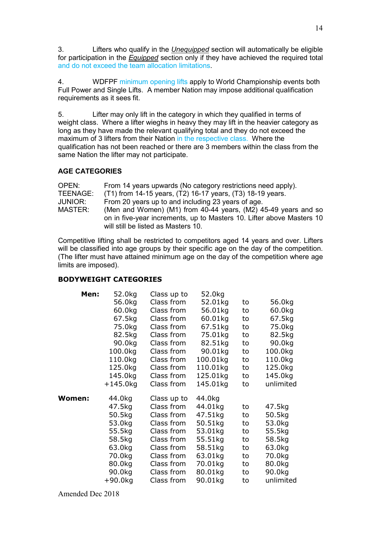3. Lifters who qualify in the *Unequipped* section will automatically be eligible for participation in the *Equipped* section only if they have achieved the required total and do not exceed the team allocation limitations.

4. WDFPF minimum opening lifts apply to World Championship events both Full Power and Single Lifts. A member Nation may impose additional qualification requirements as it sees fit.

5. Lifter may only lift in the category in which they qualified in terms of weight class. Where a lifter wieghs in heavy they may lift in the heavier category as long as they have made the relevant qualifying total and they do not exceed the maximum of 3 lifters from their Nation in the respective class. Where the qualification has not been reached or there are 3 members within the class from the same Nation the lifter may not participate.

## **AGE CATEGORIES**

| OPEN:          | From 14 years upwards (No category restrictions need apply).          |
|----------------|-----------------------------------------------------------------------|
| TEENAGE:       | (T1) from 14-15 years, (T2) 16-17 years, (T3) 18-19 years.            |
| <b>JUNIOR:</b> | From 20 years up to and including 23 years of age.                    |
| MASTER:        | (Men and Women) (M1) from 40-44 years, (M2) 45-49 years and so        |
|                | on in five-year increments, up to Masters 10. Lifter above Masters 10 |
|                | will still be listed as Masters 10.                                   |

Competitive lifting shall be restricted to competitors aged 14 years and over. Lifters will be classified into age groups by their specific age on the day of the competition. (The lifter must have attained minimum age on the day of the competition where age limits are imposed).

# **BODYWEIGHT CATEGORIES**

| Men:   | 52.0kg     | Class up to | 52.0kg   |    |           |
|--------|------------|-------------|----------|----|-----------|
|        | 56.0kg     | Class from  | 52.01kg  | to | 56.0kg    |
|        | 60.0kg     | Class from  | 56.01kg  | to | 60.0kg    |
|        | 67.5kg     | Class from  | 60.01kg  | to | 67.5kg    |
|        | 75.0kg     | Class from  | 67.51kg  | to | 75.0kg    |
|        | 82.5kg     | Class from  | 75.01kg  | to | 82.5kg    |
|        | 90.0kg     | Class from  | 82.51kg  | to | 90.0kg    |
|        | 100.0kg    | Class from  | 90.01kg  | to | 100.0kg   |
|        | 110.0kg    | Class from  | 100.01kg | to | 110.0kg   |
|        | 125.0kg    | Class from  | 110.01kg | to | 125.0kg   |
|        | 145.0kg    | Class from  | 125.01kg | to | 145.0kg   |
|        | $+145.0kg$ | Class from  | 145.01kg | to | unlimited |
| Women: | 44.0kg     | Class up to | 44.0kg   |    |           |
|        | 47.5kg     | Class from  | 44.01kg  | to | 47.5kg    |
|        | 50.5kg     | Class from  | 47.51kg  | to | 50.5kg    |
|        | 53.0kg     | Class from  | 50.51kg  | to | 53.0kg    |
|        | 55.5kg     | Class from  | 53.01kg  | to | 55.5kg    |
|        | 58.5kg     | Class from  | 55.51kg  | to | 58.5kg    |
|        | 63.0kg     | Class from  | 58.51kg  | to | 63.0kg    |
|        | 70.0kg     | Class from  | 63.01kg  | to | 70.0kg    |
|        | 80.0kg     | Class from  | 70.01kg  | to | 80.0kg    |
|        | 90.0kg     | Class from  | 80.01kg  | to | 90.0kg    |
|        | +90.0kg    | Class from  | 90.01kg  | to | unlimited |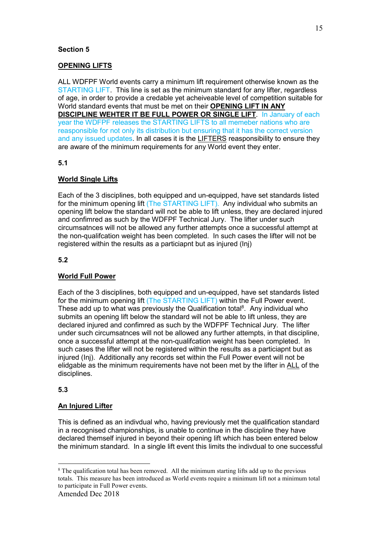# **Section 5**

# **OPENING LIFTS**

ALL WDFPF World events carry a minimum lift requirement otherwise known as the STARTING LIFT. This line is set as the minimum standard for any lifter, regardless of age, in order to provide a credable yet acheiveable level of competition suitable for World standard events that must be met on their **OPENING LIFT IN ANY DISCIPLINE WEHTER IT BE FULL POWER OR SINGLE LIFT**. In January of each year the WDFPF releases the STARTING LIFTS to all memeber nations who are reasponsible for not only its distribution but ensuring that it has the correct version and any issued updates. In all cases it is the LIFTERS reasponsibility to ensure they are aware of the minimum requirements for any World event they enter.

## **5.1**

# **World Single Lifts**

Each of the 3 disciplines, both equipped and un-equipped, have set standards listed for the minimum opening lift (The STARTING LIFT). Any individual who submits an opening lift below the standard will not be able to lift unless, they are declared injured and confimred as such by the WDFPF Technical Jury. The lifter under such circumsatnces will not be allowed any further attempts once a successful attempt at the non-qualifcation weight has been completed. In such cases the lifter will not be registered within the results as a particiapnt but as injured (Inj)

## **5.2**

## **World Full Power**

Each of the 3 disciplines, both equipped and un-equipped, have set standards listed for the minimum opening lift (The STARTING LIFT) within the Full Power event. These add up to what was previously the Qualification total $8$ . Any individual who submits an opening lift below the standard will not be able to lift unless, they are declared injured and confimred as such by the WDFPF Technical Jury. The lifter under such circumsatnces will not be allowed any further attempts, in that discipline, once a successful attempt at the non-qualifcation weight has been completed. In such cases the lifter will not be registered within the results as a particiapnt but as injured (Inj). Additionally any records set within the Full Power event will not be elidgable as the minimum requirements have not been met by the lifter in ALL of the disciplines.

## **5.3**

-

## **An Injured Lifter**

This is defined as an indivdual who, having previously met the qualification standard in a recognised championships, is unable to continue in the discipline they have declared themself injured in beyond their opening lift which has been entered below the minimum standard. In a single lift event this limits the indivdual to one successful

<sup>&</sup>lt;sup>8</sup> The qualification total has been removed. All the minimum starting lifts add up to the previous totals. This measure has been introduced as World events require a minimum lift not a minimum total to participate in Full Power events.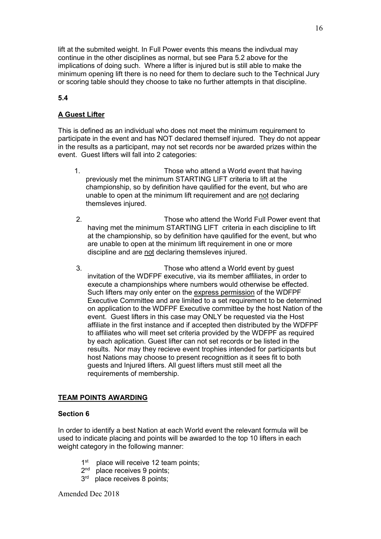lift at the submited weight. In Full Power events this means the indivdual may continue in the other disciplines as normal, but see Para 5.2 above for the implications of doing such. Where a lifter is injured but is still able to make the minimum opening lift there is no need for them to declare such to the Technical Jury or scoring table should they choose to take no further attempts in that discipline.

### **5.4**

## **A Guest Lifter**

This is defined as an individual who does not meet the minimum requirement to participate in the event and has NOT declared themself injured. They do not appear in the results as a participant, may not set records nor be awarded prizes within the event. Guest lifters will fall into 2 categories:

- 1. Those who attend a World event that having previously met the minimum STARTING LIFT criteria to lift at the championship, so by definition have qaulified for the event, but who are unable to open at the minimum lift requirement and are not declaring themsleves injured.
- 2. Those who attend the World Full Power event that having met the minimum STARTING LIFT criteria in each discipline to lift at the championship, so by definition have qaulified for the event, but who are unable to open at the minimum lift requirement in one or more discipline and are not declaring themsleves injured.
- 3. Those who attend a World event by guest invitation of the WDFPF executive, via its member affiliates, in order to execute a championships where numbers would otherwise be effected. Such lifters may only enter on the express permission of the WDFPF Executive Committee and are limited to a set requirement to be determined on application to the WDFPF Executive committee by the host Nation of the event. Guest lifters in this case may ONLY be requested via the Host affiliate in the first instance and if accepted then distributed by the WDFPF to affiliates who will meet set criteria provided by the WDFPF as required by each aplication. Guest lifter can not set records or be listed in the results. Nor may they recieve event trophies intended for participants but host Nations may choose to present recognittion as it sees fit to both guests and Injured lifters. All guest lifters must still meet all the requirements of membership.

## **TEAM POINTS AWARDING**

#### **Section 6**

In order to identify a best Nation at each World event the relevant formula will be used to indicate placing and points will be awarded to the top 10 lifters in each weight category in the following manner:

- $1<sup>st</sup>$ place will receive 12 team points;
- $2<sub>nd</sub>$ place receives 9 points;
- 3<sup>rd</sup> place receives 8 points;